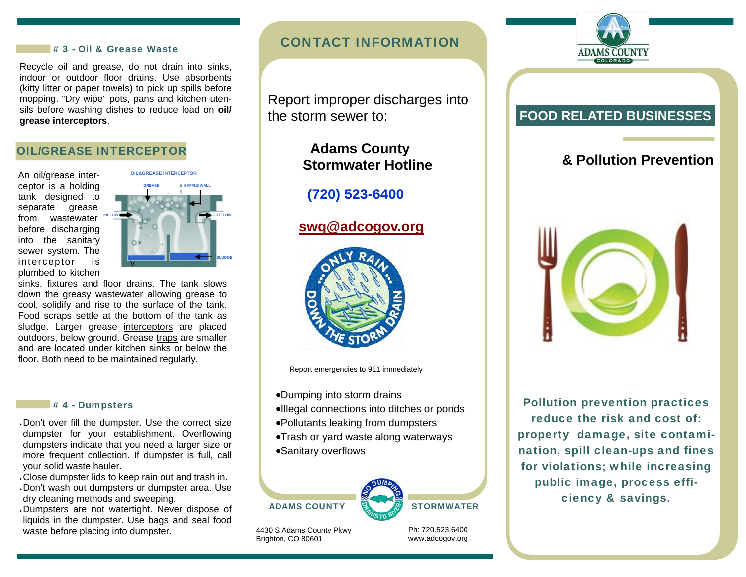#### # 3 - Oil & Grease Waste

Recycle oil and grease, do not drain into sinks, indoor or outdoor floor drains. Use absorbents (kitty litter or paper towels) to pick up spills before mopping. "Dry wipe" pots, pans and kitchen utensils before washing dishes to reduce load on **oil/ grease interceptors**.

#### OIL/GREASE INTERCEPTOR

An oil/grease interceptor is a holding tank designed to separate grease from wastewater before discharging into the sanitary sewer system. The interceptor is plumbed to kitchen



sinks, fixtures and floor drains. The tank slows down the greasy wastewater allowing grease to cool, solidify and rise to the surface of the tank. Food scraps settle at the bottom of the tank as sludge. Larger grease interceptors are placed outdoors, below ground. Grease traps are smaller and are located under kitchen sinks or below the floor. Both need to be maintained regularly.

#### # 4 - Dumpsters

- Don't over fill the dumpster. Use the correct size dumpster for your establishment. Overflowing dumpsters indicate that you need a larger size or more frequent collection. If dumpster is full, call your solid waste hauler.
- Close dumpster lids to keep rain out and trash in.
- Don't wash out dumpsters or dumpster area. Use dry cleaning methods and sweeping.
- Dumpsters are not watertight. Never dispose of liquids in the dumpster. Use bags and seal food waste before placing into dumpster.

# CONTACT INFORMATION

 Report improper discharges into the storm sewer to:

# **Adams County Stormwater Hotline**

 **(720) 523-6400** 

### **swq@adcogov.org**



Report emergencies to 911 immediately

- Dumping into storm drains
- Illegal connections into ditches or ponds
- Pollutants leaking from dumpsters
- Trash or yard waste along waterways
- Sanitary overflows



4430 S Adams County Pkwy Brighton, CO 80601

Ph: 720.523.6400 www.adcogov.org



## **FOOD RELATED BUSINESSES**

# **& Pollution Prevention**



Pollution prevention practices reduce the risk and cost of: property damage, site contamination, spill clean-ups and fines for violations; while increasing public image, process efficiency & savings.